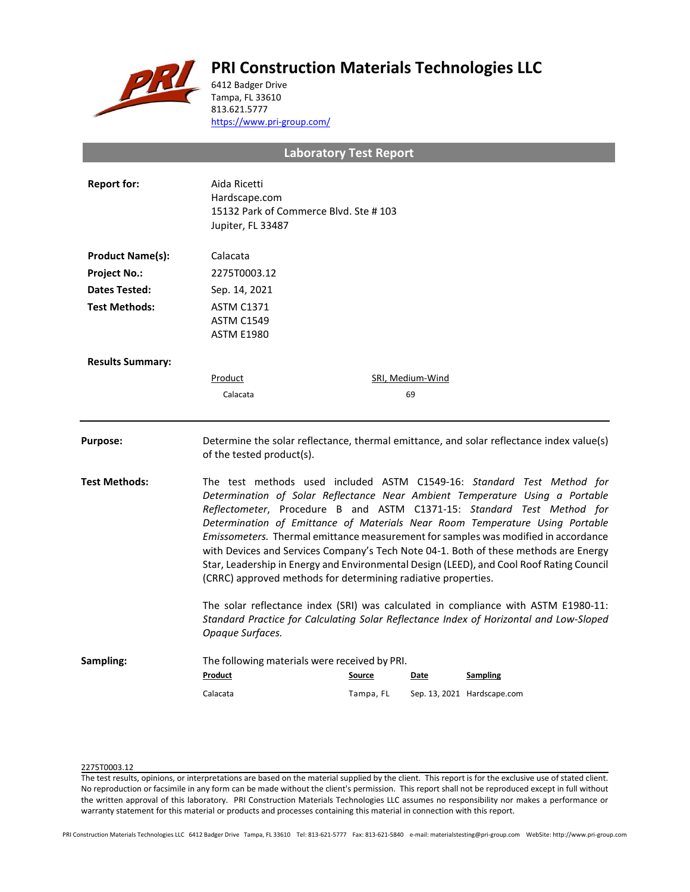# **PRI Construction Materials Technologies LLC**



6412 Badger Drive Tampa, FL 33610 813.621.5777 <https://www.pri-group.com/>

**Laboratory Test Report**

| <b>Report for:</b>      | Aida Ricetti<br>Hardscape.com<br>15132 Park of Commerce Blvd. Ste #103<br>Jupiter, FL 33487                                                                                                                                                                                                                                                                                                                                                                                                                                                                                                                                                                 |           |                  |                             |  |
|-------------------------|-------------------------------------------------------------------------------------------------------------------------------------------------------------------------------------------------------------------------------------------------------------------------------------------------------------------------------------------------------------------------------------------------------------------------------------------------------------------------------------------------------------------------------------------------------------------------------------------------------------------------------------------------------------|-----------|------------------|-----------------------------|--|
| <b>Product Name(s):</b> | Calacata                                                                                                                                                                                                                                                                                                                                                                                                                                                                                                                                                                                                                                                    |           |                  |                             |  |
| <b>Project No.:</b>     | 2275T0003.12                                                                                                                                                                                                                                                                                                                                                                                                                                                                                                                                                                                                                                                |           |                  |                             |  |
| Dates Tested:           | Sep. 14, 2021                                                                                                                                                                                                                                                                                                                                                                                                                                                                                                                                                                                                                                               |           |                  |                             |  |
| <b>Test Methods:</b>    | <b>ASTM C1371</b><br><b>ASTM C1549</b><br><b>ASTM E1980</b>                                                                                                                                                                                                                                                                                                                                                                                                                                                                                                                                                                                                 |           |                  |                             |  |
| <b>Results Summary:</b> |                                                                                                                                                                                                                                                                                                                                                                                                                                                                                                                                                                                                                                                             |           |                  |                             |  |
|                         | Product                                                                                                                                                                                                                                                                                                                                                                                                                                                                                                                                                                                                                                                     |           | SRI, Medium-Wind |                             |  |
|                         | Calacata                                                                                                                                                                                                                                                                                                                                                                                                                                                                                                                                                                                                                                                    |           | 69               |                             |  |
| <b>Purpose:</b>         | Determine the solar reflectance, thermal emittance, and solar reflectance index value(s)<br>of the tested product(s).                                                                                                                                                                                                                                                                                                                                                                                                                                                                                                                                       |           |                  |                             |  |
| <b>Test Methods:</b>    | The test methods used included ASTM C1549-16: Standard Test Method for<br>Determination of Solar Reflectance Near Ambient Temperature Using a Portable<br>Reflectometer, Procedure B and ASTM C1371-15: Standard Test Method for<br>Determination of Emittance of Materials Near Room Temperature Using Portable<br>Emissometers. Thermal emittance measurement for samples was modified in accordance<br>with Devices and Services Company's Tech Note 04-1. Both of these methods are Energy<br>Star, Leadership in Energy and Environmental Design (LEED), and Cool Roof Rating Council<br>(CRRC) approved methods for determining radiative properties. |           |                  |                             |  |
|                         | The solar reflectance index (SRI) was calculated in compliance with ASTM E1980-11:<br>Standard Practice for Calculating Solar Reflectance Index of Horizontal and Low-Sloped<br>Opaque Surfaces.                                                                                                                                                                                                                                                                                                                                                                                                                                                            |           |                  |                             |  |
| Sampling:               | The following materials were received by PRI.<br>Product                                                                                                                                                                                                                                                                                                                                                                                                                                                                                                                                                                                                    | Source    | Date             | <b>Sampling</b>             |  |
|                         | Calacata                                                                                                                                                                                                                                                                                                                                                                                                                                                                                                                                                                                                                                                    | Tampa, FL |                  | Sep. 13, 2021 Hardscape.com |  |
|                         |                                                                                                                                                                                                                                                                                                                                                                                                                                                                                                                                                                                                                                                             |           |                  |                             |  |

## 2275T0003.12

The test results, opinions, or interpretations are based on the material supplied by the client. This report is for the exclusive use of stated client. No reproduction or facsimile in any form can be made without the client's permission. This report shall not be reproduced except in full without the written approval of this laboratory. PRI Construction Materials Technologies LLC assumes no responsibility nor makes a performance or warranty statement for this material or products and processes containing this material in connection with this report.

PRI Construction Materials Technologies LLC 6412 Badger Drive Tampa, FL 33610 Tel: 813-621-5777 Fax: 813-621-5840 e-mail: materialstesting@pri-group.com WebSite: http://www.pri-group.com